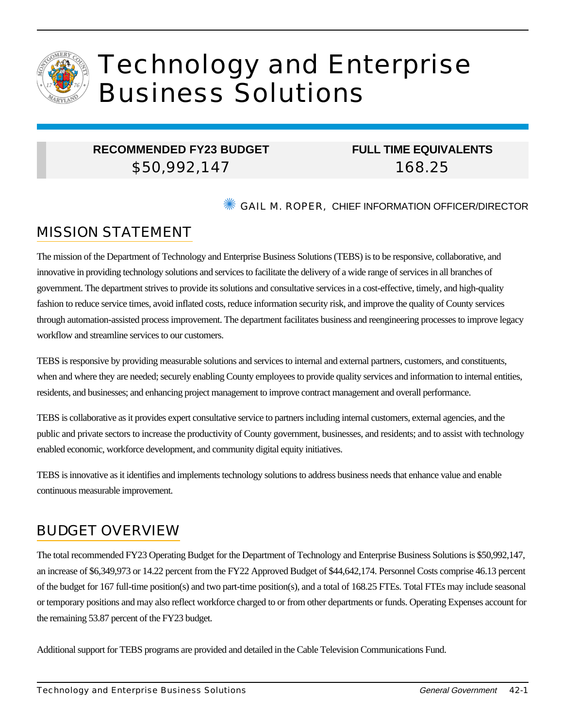

# Technology and Enterprise Business Solutions

## **RECOMMENDED FY23 BUDGET** \$50,992,147

## **FULL TIME EQUIVALENTS** 168.25

**SECTION METALL METALLY CONTROLLER INFORMATION OFFICER/DIRECTOR** 

# MISSION STATEMENT

The mission of the Department of Technology and Enterprise Business Solutions (TEBS) is to be responsive, collaborative, and innovative in providing technology solutions and services to facilitate the delivery of a wide range of services in all branches of government. The department strives to provide its solutions and consultative services in a cost-effective, timely, and high-quality fashion to reduce service times, avoid inflated costs, reduce information security risk, and improve the quality of County services through automation-assisted process improvement. The department facilitates business and reengineering processes to improve legacy workflow and streamline services to our customers.

TEBS is responsive by providing measurable solutions and services to internal and external partners, customers, and constituents, when and where they are needed; securely enabling County employees to provide quality services and information to internal entities, residents, and businesses; and enhancing project management to improve contract management and overall performance.

TEBS is collaborative as it provides expert consultative service to partners including internal customers, external agencies, and the public and private sectors to increase the productivity of County government, businesses, and residents; and to assist with technology enabled economic, workforce development, and community digital equity initiatives.

TEBS is innovative as it identifies and implements technology solutions to address business needs that enhance value and enable continuous measurable improvement.

# BUDGET OVERVIEW

The total recommended FY23 Operating Budget for the Department of Technology and Enterprise Business Solutions is \$50,992,147, an increase of \$6,349,973 or 14.22 percent from the FY22 Approved Budget of \$44,642,174. Personnel Costs comprise 46.13 percent of the budget for 167 full-time position(s) and two part-time position(s), and a total of 168.25 FTEs. Total FTEs may include seasonal or temporary positions and may also reflect workforce charged to or from other departments or funds. Operating Expenses account for the remaining 53.87 percent of the FY23 budget.

Additional support for TEBS programs are provided and detailed in the Cable Television Communications Fund.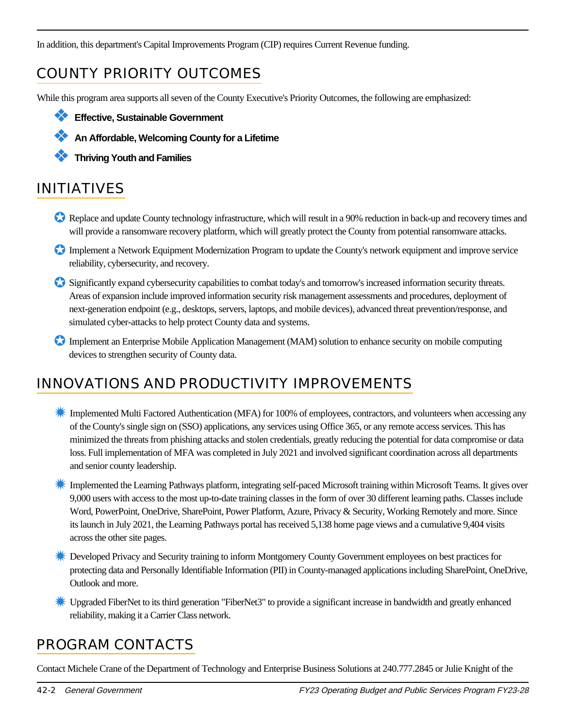In addition, this department's Capital Improvements Program (CIP) requires Current Revenue funding.

# COUNTY PRIORITY OUTCOMES

While this program area supports all seven of the County Executive's Priority Outcomes, the following are emphasized:

- ❖ **Effective, Sustainable Government**
	- ❖ **An Affordable, Welcoming County for a Lifetime**
	- ❖ **Thriving Youth and Families**

# INITIATIVES

- Replace and update County technology infrastructure, which will result in a 90% reduction in back-up and recovery times and will provide a ransomware recovery platform, which will greatly protect the County from potential ransomware attacks.
- ✪ Implement a Network Equipment Modernization Program to update the County's network equipment and improve service reliability, cybersecurity, and recovery.
- ✪ Significantly expand cybersecurity capabilities to combat today's and tomorrow's increased information security threats. Areas of expansion include improved information security risk management assessments and procedures, deployment of next-generation endpoint (e.g., desktops, servers, laptops, and mobile devices), advanced threat prevention/response, and simulated cyber-attacks to help protect County data and systems.
- ✪ Implement an Enterprise Mobile Application Management (MAM) solution to enhance security on mobile computing devices to strengthen security of County data.

## INNOVATIONS AND PRODUCTIVITY IMPROVEMENTS

- ✹ Implemented Multi Factored Authentication (MFA) for 100% of employees, contractors, and volunteers when accessing any of the County's single sign on (SSO) applications, any services using Office 365, or any remote access services. This has minimized the threats from phishing attacks and stolen credentials, greatly reducing the potential for data compromise or data loss. Full implementation of MFA was completed in July 2021 and involved significant coordination across all departments and senior county leadership.
- ✹ Implemented the Learning Pathways platform, integrating self-paced Microsoft training within Microsoft Teams. It gives over 9,000 users with access to the most up-to-date training classes in the form of over 30 different learning paths. Classes include Word, PowerPoint, OneDrive, SharePoint, Power Platform, Azure, Privacy & Security, Working Remotely and more. Since its launch in July 2021, the Learning Pathways portal has received 5,138 home page views and a cumulative 9,404 visits across the other site pages.
- **Example 2** Developed Privacy and Security training to inform Montgomery County Government employees on best practices for protecting data and Personally Identifiable Information (PII) in County-managed applications including SharePoint, OneDrive, Outlook and more.
- ✹ Upgraded FiberNet to its third generation "FiberNet3" to provide a significant increase in bandwidth and greatly enhanced reliability, making it a Carrier Class network.

## PROGRAM CONTACTS

Contact Michele Crane of the Department of Technology and Enterprise Business Solutions at 240.777.2845 or Julie Knight of the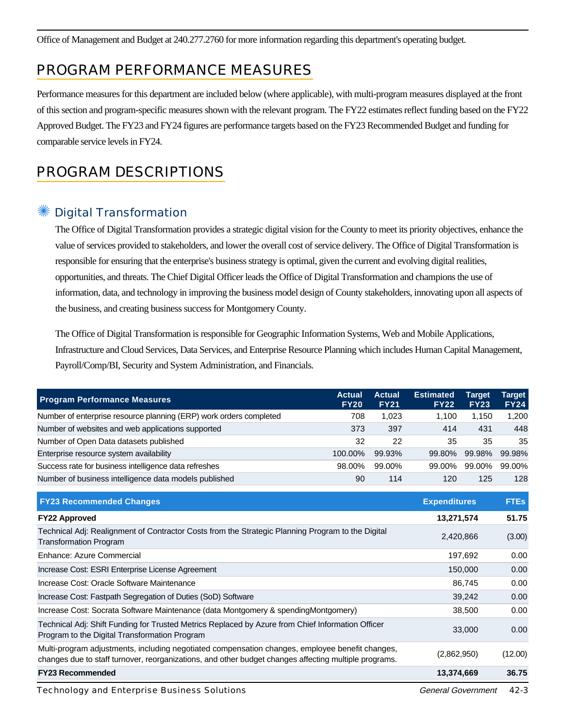Office of Management and Budget at 240.277.2760 for more information regarding this department's operating budget.

## PROGRAM PERFORMANCE MEASURES

Performance measures for this department are included below (where applicable), with multi-program measures displayed at the front of this section and program-specific measures shown with the relevant program. The FY22 estimates reflect funding based on the FY22 Approved Budget. The FY23 and FY24 figures are performance targets based on the FY23 Recommended Budget and funding for comparable service levels in FY24.

## PROGRAM DESCRIPTIONS

## **Digital Transformation**

The Office of Digital Transformation provides a strategic digital vision for the County to meet its priority objectives, enhance the value of services provided to stakeholders, and lower the overall cost of service delivery. The Office of Digital Transformation is responsible for ensuring that the enterprise's business strategy is optimal, given the current and evolving digital realities, opportunities, and threats. The Chief Digital Officer leads the Office of Digital Transformation and champions the use of information, data, and technology in improving the business model design of County stakeholders, innovating upon all aspects of the business, and creating business success for Montgomery County.

The Office of Digital Transformation is responsible for Geographic Information Systems, Web and Mobile Applications, Infrastructure and Cloud Services, Data Services, and Enterprise Resource Planning which includes Human Capital Management, Payroll/Comp/BI, Security and System Administration, and Financials.

| <b>Program Performance Measures</b>                                | <b>Actual</b><br><b>FY20</b> | <b>Actual</b><br><b>FY21</b> | <b>Estimated</b><br><b>FY22</b> | <b>Target</b><br><b>FY23</b> | Target<br><b>FY24</b> |
|--------------------------------------------------------------------|------------------------------|------------------------------|---------------------------------|------------------------------|-----------------------|
| Number of enterprise resource planning (ERP) work orders completed | 708                          | 1.023                        | 1.100                           | 1.150                        | 1,200                 |
| Number of websites and web applications supported                  | 373                          | 397                          | 414                             | 431                          | 448                   |
| Number of Open Data datasets published                             | 32                           | 22                           | 35                              | 35                           | 35                    |
| Enterprise resource system availability                            | 100.00%                      | 99.93%                       | 99.80%                          | 99.98%                       | 99.98%                |
| Success rate for business intelligence data refreshes              | 98.00%                       | 99.00%                       | 99.00%                          | 99.00%                       | 99.00%                |
| Number of business intelligence data models published              | 90                           | 114                          | 120                             | 125                          | 128                   |

| <b>FY23 Recommended Changes</b>                                                                                                                                                                          | <b>Expenditures</b> | <b>FTEs</b> |
|----------------------------------------------------------------------------------------------------------------------------------------------------------------------------------------------------------|---------------------|-------------|
| <b>FY22 Approved</b>                                                                                                                                                                                     | 13,271,574          | 51.75       |
| Technical Adj: Realignment of Contractor Costs from the Strategic Planning Program to the Digital<br><b>Transformation Program</b>                                                                       | 2,420,866           | (3.00)      |
| Enhance: Azure Commercial                                                                                                                                                                                | 197,692             | 0.00        |
| Increase Cost: ESRI Enterprise License Agreement                                                                                                                                                         | 150,000             | 0.00        |
| Increase Cost: Oracle Software Maintenance                                                                                                                                                               | 86,745              | 0.00        |
| Increase Cost: Fastpath Segregation of Duties (SoD) Software                                                                                                                                             | 39,242              | 0.00        |
| Increase Cost: Socrata Software Maintenance (data Montgomery & spendingMontgomery)                                                                                                                       | 38,500              | 0.00        |
| Technical Adj: Shift Funding for Trusted Metrics Replaced by Azure from Chief Information Officer<br>Program to the Digital Transformation Program                                                       | 33,000              | 0.00        |
| Multi-program adjustments, including negotiated compensation changes, employee benefit changes,<br>changes due to staff turnover, reorganizations, and other budget changes affecting multiple programs. | (2,862,950)         | (12.00)     |
| <b>FY23 Recommended</b>                                                                                                                                                                                  | 13,374,669          | 36.75       |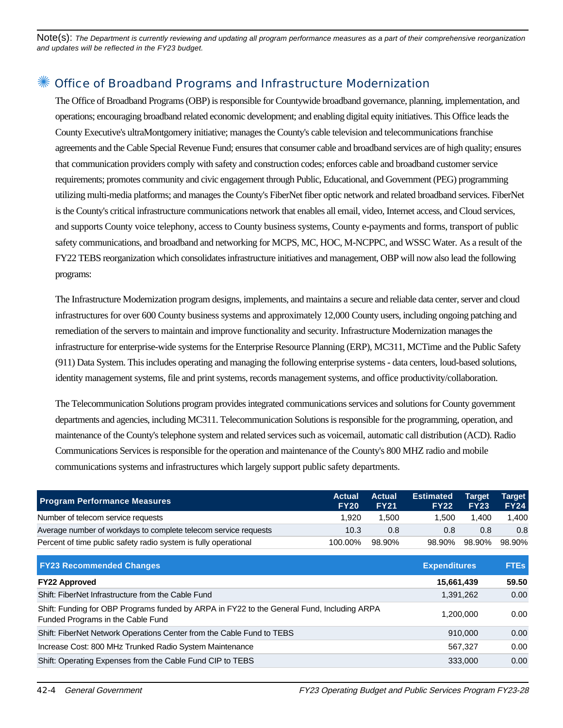Note(s): The Department is currently reviewing and updating all program performance measures as a part of their comprehensive reorganization and updates will be reflected in the FY23 budget.

#### ✺ Office of Broadband Programs and Infrastructure Modernization

The Office of Broadband Programs (OBP) is responsible for Countywide broadband governance, planning, implementation, and operations; encouraging broadband related economic development; and enabling digital equity initiatives. This Office leads the County Executive's ultraMontgomery initiative; manages the County's cable television and telecommunications franchise agreements and the Cable Special Revenue Fund; ensures that consumer cable and broadband services are of high quality; ensures that communication providers comply with safety and construction codes; enforces cable and broadband customer service requirements; promotes community and civic engagement through Public, Educational, and Government (PEG) programming utilizing multi-media platforms; and manages the County's FiberNet fiber optic network and related broadband services. FiberNet is the County's critical infrastructure communications network that enables all email, video, Internet access, and Cloud services, and supports County voice telephony, access to County business systems, County e-payments and forms, transport of public safety communications, and broadband and networking for MCPS, MC, HOC, M-NCPPC, and WSSC Water. As a result of the FY22 TEBS reorganization which consolidates infrastructure initiatives and management, OBP will now also lead the following programs:

The Infrastructure Modernization program designs, implements, and maintains a secure and reliable data center, server and cloud infrastructures for over 600 County business systems and approximately 12,000 County users, including ongoing patching and remediation of the servers to maintain and improve functionality and security. Infrastructure Modernization manages the infrastructure for enterprise-wide systems for the Enterprise Resource Planning (ERP), MC311, MCTime and the Public Safety (911) Data System. This includes operating and managing the following enterprise systems - data centers, loud-based solutions, identity management systems, file and print systems, records management systems, and office productivity/collaboration.

The Telecommunication Solutions program provides integrated communications services and solutions for County government departments and agencies, including MC311. Telecommunication Solutions is responsible for the programming, operation, and maintenance of the County's telephone system and related services such as voicemail, automatic call distribution (ACD). Radio Communications Services is responsible for the operation and maintenance of the County's 800 MHZ radio and mobile communications systems and infrastructures which largely support public safety departments.

| <b>Program Performance Measures</b>                             | <b>Actual</b><br><b>FY20</b> | <b>Actual</b><br><b>FY21</b> | <b>Estimated</b><br><b>FY22</b> | <b>Target</b><br><b>FY23</b> | Target<br><b>FY24</b> |
|-----------------------------------------------------------------|------------------------------|------------------------------|---------------------------------|------------------------------|-----------------------|
| Number of telecom service requests                              | 1.920                        | 1.500                        | 1.500                           | 1.400                        | 1.400                 |
| Average number of workdays to complete telecom service requests | 10.3                         | 0.8                          | 0.8                             | 0.8                          | 0.8                   |
| Percent of time public safety radio system is fully operational | 100.00%                      | 98.90%                       | 98.90%                          | 98.90%                       | 98.90%                |

| <b>FY23 Recommended Changes</b>                                                                                                 | <b>Expenditures</b> | <b>FTEs</b> |
|---------------------------------------------------------------------------------------------------------------------------------|---------------------|-------------|
| <b>FY22 Approved</b>                                                                                                            | 15,661,439          | 59.50       |
| Shift: FiberNet Infrastructure from the Cable Fund                                                                              | 1,391,262           | 0.00        |
| Shift: Funding for OBP Programs funded by ARPA in FY22 to the General Fund, Including ARPA<br>Funded Programs in the Cable Fund | 1,200,000           | 0.00        |
| Shift: FiberNet Network Operations Center from the Cable Fund to TEBS                                                           | 910.000             | 0.00        |
| Increase Cost: 800 MHz Trunked Radio System Maintenance                                                                         | 567.327             | 0.00        |
| Shift: Operating Expenses from the Cable Fund CIP to TEBS                                                                       | 333,000             | 0.00        |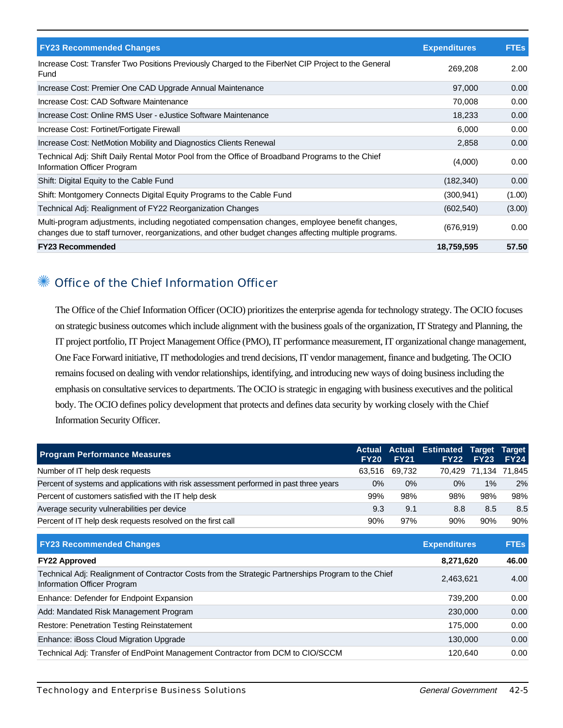| <b>FY23 Recommended Changes</b>                                                                                                                                                                          | <b>Expenditures</b> | <b>FTEs</b> |
|----------------------------------------------------------------------------------------------------------------------------------------------------------------------------------------------------------|---------------------|-------------|
| Increase Cost: Transfer Two Positions Previously Charged to the FiberNet CIP Project to the General<br>Fund                                                                                              | 269,208             | 2.00        |
| Increase Cost: Premier One CAD Upgrade Annual Maintenance                                                                                                                                                | 97,000              | 0.00        |
| Increase Cost: CAD Software Maintenance                                                                                                                                                                  | 70,008              | 0.00        |
| Increase Cost: Online RMS User - eJustice Software Maintenance                                                                                                                                           | 18,233              | 0.00        |
| Increase Cost: Fortinet/Fortigate Firewall                                                                                                                                                               | 6,000               | 0.00        |
| Increase Cost: NetMotion Mobility and Diagnostics Clients Renewal                                                                                                                                        | 2,858               | 0.00        |
| Technical Adj: Shift Daily Rental Motor Pool from the Office of Broadband Programs to the Chief<br>Information Officer Program                                                                           | (4,000)             | 0.00        |
| Shift: Digital Equity to the Cable Fund                                                                                                                                                                  | (182, 340)          | 0.00        |
| Shift: Montgomery Connects Digital Equity Programs to the Cable Fund                                                                                                                                     | (300, 941)          | (1.00)      |
| Technical Adj: Realignment of FY22 Reorganization Changes                                                                                                                                                | (602, 540)          | (3.00)      |
| Multi-program adjustments, including negotiated compensation changes, employee benefit changes,<br>changes due to staff turnover, reorganizations, and other budget changes affecting multiple programs. | (676, 919)          | 0.00        |
| <b>FY23 Recommended</b>                                                                                                                                                                                  | 18,759,595          | 57.50       |

## ✺ Office of the Chief Information Officer

The Office of the Chief Information Officer (OCIO) prioritizes the enterprise agenda for technology strategy. The OCIO focuses on strategic business outcomes which include alignment with the business goals of the organization, IT Strategy and Planning, the IT project portfolio, IT Project Management Office (PMO), IT performance measurement, IT organizational change management, One Face Forward initiative, IT methodologies and trend decisions, IT vendor management, finance and budgeting. The OCIO remains focused on dealing with vendor relationships, identifying, and introducing new ways of doing business including the emphasis on consultative services to departments. The OCIO is strategic in engaging with business executives and the political body. The OCIO defines policy development that protects and defines data security by working closely with the Chief Information Security Officer.

| <b>Program Performance Measures</b>                                                                                                | <b>Actual</b><br><b>FY20</b> | <b>FY21</b> | <b>Actual Estimated</b><br><b>FY22</b> | <b>Target</b><br><b>FY23</b> | Target<br><b>FY24</b> |
|------------------------------------------------------------------------------------------------------------------------------------|------------------------------|-------------|----------------------------------------|------------------------------|-----------------------|
| Number of IT help desk requests                                                                                                    | 63,516                       | 69,732      | 70,429                                 |                              | 71,134 71,845         |
| Percent of systems and applications with risk assessment performed in past three years                                             | $0\%$                        | $0\%$       | $0\%$                                  | 1%                           | 2%                    |
| Percent of customers satisfied with the IT help desk                                                                               | 99%                          | 98%         | 98%                                    | 98%                          | 98%                   |
| Average security vulnerabilities per device                                                                                        | 9.3                          | 9.1         | 8.8                                    | 8.5                          | 8.5                   |
| Percent of IT help desk requests resolved on the first call                                                                        | 90%                          | 97%         | 90%                                    | 90%                          | 90%                   |
| <b>FY23 Recommended Changes</b>                                                                                                    |                              |             | <b>Expenditures</b>                    |                              | <b>FTEs</b>           |
| <b>FY22 Approved</b>                                                                                                               |                              |             | 8,271,620                              |                              | 46.00                 |
| Technical Adj: Realignment of Contractor Costs from the Strategic Partnerships Program to the Chief<br>Information Officer Program |                              |             | 2,463,621                              |                              | 4.00                  |
| Enhance: Defender for Endpoint Expansion                                                                                           |                              |             | 739,200                                |                              | 0.00                  |
| Add: Mandated Risk Management Program                                                                                              |                              |             | 230,000                                |                              | 0.00                  |
| <b>Restore: Penetration Testing Reinstatement</b>                                                                                  |                              |             | 175,000                                |                              | 0.00                  |
| Enhance: iBoss Cloud Migration Upgrade                                                                                             |                              |             | 130,000                                |                              | 0.00                  |
| Technical Adj: Transfer of EndPoint Management Contractor from DCM to CIO/SCCM                                                     |                              |             | 120,640                                |                              | 0.00                  |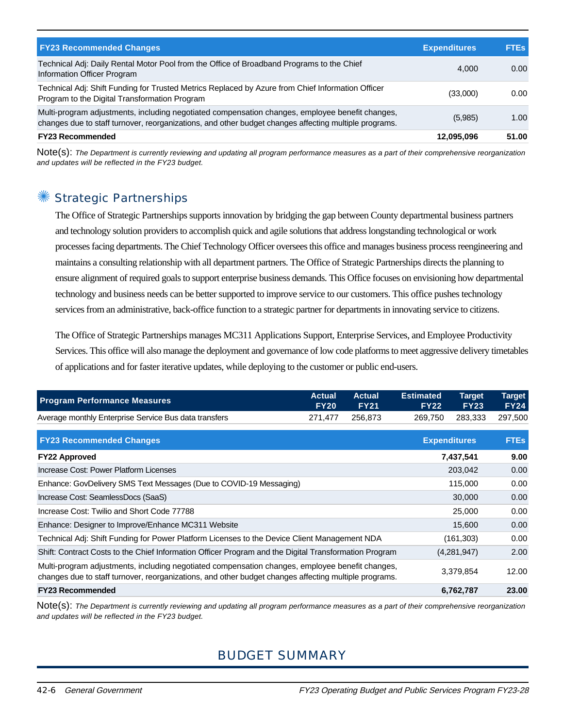| <b>FY23 Recommended Changes</b>                                                                                                                                                                          | <b>Expenditures</b> | <b>FTEs</b> |
|----------------------------------------------------------------------------------------------------------------------------------------------------------------------------------------------------------|---------------------|-------------|
| Technical Adj: Daily Rental Motor Pool from the Office of Broadband Programs to the Chief<br>Information Officer Program                                                                                 | 4.000               | 0.00        |
| Technical Adj: Shift Funding for Trusted Metrics Replaced by Azure from Chief Information Officer<br>Program to the Digital Transformation Program                                                       | (33,000)            | 0.00        |
| Multi-program adjustments, including negotiated compensation changes, employee benefit changes,<br>changes due to staff turnover, reorganizations, and other budget changes affecting multiple programs. | (5,985)             | 1.00        |
| <b>FY23 Recommended</b>                                                                                                                                                                                  | 12,095,096          | 51.00       |

Note(s): The Department is currently reviewing and updating all program performance measures as a part of their comprehensive reorganization and updates will be reflected in the FY23 budget.

#### Strategic Partnerships

The Office of Strategic Partnerships supports innovation by bridging the gap between County departmental business partners and technology solution providers to accomplish quick and agile solutions that address longstanding technological or work processes facing departments. The Chief Technology Officer oversees this office and manages business process reengineering and maintains a consulting relationship with all department partners. The Office of Strategic Partnerships directs the planning to ensure alignment of required goals to support enterprise business demands. This Office focuses on envisioning how departmental technology and business needs can be better supported to improve service to our customers. This office pushes technology services from an administrative, back-office function to a strategic partner for departments in innovating service to citizens.

The Office of Strategic Partnerships manages MC311 Applications Support, Enterprise Services, and Employee Productivity Services. This office will also manage the deployment and governance of low code platforms to meet aggressive delivery timetables of applications and for faster iterative updates, while deploying to the customer or public end-users.

| <b>Program Performance Measures</b>                                                                                                                                                                      | <b>Actual</b><br><b>FY20</b> | <b>Actual</b><br><b>FY21</b> | <b>Estimated</b><br><b>FY22</b> | <b>Target</b><br><b>FY23</b> | Target<br><b>FY24</b> |
|----------------------------------------------------------------------------------------------------------------------------------------------------------------------------------------------------------|------------------------------|------------------------------|---------------------------------|------------------------------|-----------------------|
| Average monthly Enterprise Service Bus data transfers                                                                                                                                                    | 271,477                      | 256,873                      | 269,750                         | 283,333                      | 297,500               |
| <b>FY23 Recommended Changes</b>                                                                                                                                                                          |                              |                              |                                 | <b>Expenditures</b>          | <b>FTEs</b>           |
| <b>FY22 Approved</b>                                                                                                                                                                                     |                              |                              |                                 | 7,437,541                    | 9.00                  |
| Increase Cost: Power Platform Licenses                                                                                                                                                                   |                              |                              |                                 | 203,042                      | 0.00                  |
| Enhance: GovDelivery SMS Text Messages (Due to COVID-19 Messaging)                                                                                                                                       |                              |                              |                                 | 115,000                      | 0.00                  |
| Increase Cost: SeamlessDocs (SaaS)                                                                                                                                                                       |                              |                              |                                 | 30,000                       | 0.00                  |
| Increase Cost: Twilio and Short Code 77788                                                                                                                                                               |                              |                              |                                 | 25,000                       | 0.00                  |
| Enhance: Designer to Improve/Enhance MC311 Website                                                                                                                                                       |                              |                              |                                 | 15,600                       | 0.00                  |
| Technical Adj: Shift Funding for Power Platform Licenses to the Device Client Management NDA                                                                                                             |                              |                              |                                 | (161, 303)                   | 0.00                  |
| Shift: Contract Costs to the Chief Information Officer Program and the Digital Transformation Program                                                                                                    |                              |                              |                                 | (4,281,947)                  | 2.00                  |
| Multi-program adjustments, including negotiated compensation changes, employee benefit changes,<br>changes due to staff turnover, reorganizations, and other budget changes affecting multiple programs. |                              |                              |                                 | 3,379,854                    | 12.00                 |
| <b>FY23 Recommended</b>                                                                                                                                                                                  |                              |                              |                                 | 6,762,787                    | 23.00                 |

Note(s): The Department is currently reviewing and updating all program performance measures as a part of their comprehensive reorganization and updates will be reflected in the FY23 budget.

## BUDGET SUMMARY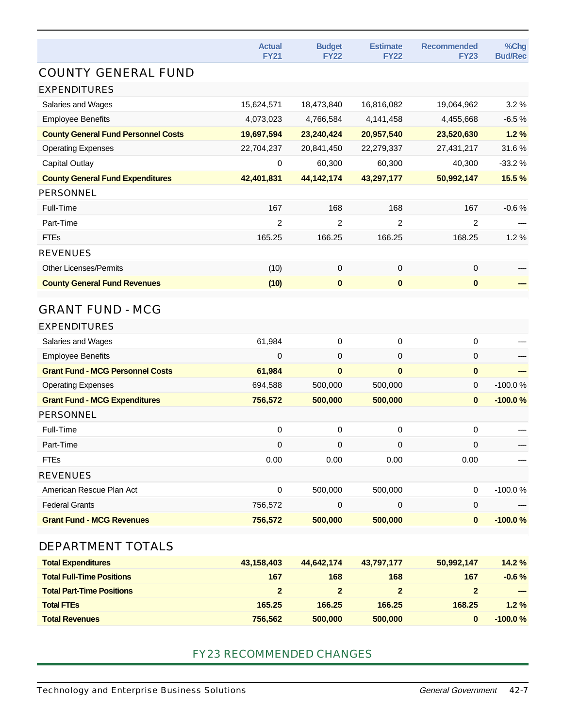|                                            | <b>Actual</b><br><b>FY21</b> | <b>Budget</b><br><b>FY22</b> | <b>Estimate</b><br><b>FY22</b> | <b>Recommended</b><br><b>FY23</b> | %Chg<br><b>Bud/Rec</b> |
|--------------------------------------------|------------------------------|------------------------------|--------------------------------|-----------------------------------|------------------------|
| <b>COUNTY GENERAL FUND</b>                 |                              |                              |                                |                                   |                        |
| <b>EXPENDITURES</b>                        |                              |                              |                                |                                   |                        |
| Salaries and Wages                         | 15,624,571                   | 18,473,840                   | 16,816,082                     | 19,064,962                        | 3.2%                   |
| <b>Employee Benefits</b>                   | 4,073,023                    | 4,766,584                    | 4,141,458                      | 4,455,668                         | $-6.5%$                |
| <b>County General Fund Personnel Costs</b> | 19,697,594                   | 23,240,424                   | 20,957,540                     | 23,520,630                        | 1.2%                   |
| <b>Operating Expenses</b>                  | 22,704,237                   | 20,841,450                   | 22,279,337                     | 27,431,217                        | 31.6%                  |
| <b>Capital Outlay</b>                      | 0                            | 60,300                       | 60,300                         | 40,300                            | $-33.2%$               |
| <b>County General Fund Expenditures</b>    | 42,401,831                   | 44, 142, 174                 | 43,297,177                     | 50,992,147                        | 15.5 %                 |
| <b>PERSONNEL</b>                           |                              |                              |                                |                                   |                        |
| Full-Time                                  | 167                          | 168                          | 168                            | 167                               | $-0.6%$                |
| Part-Time                                  | 2                            | $\overline{2}$               | 2                              | 2                                 |                        |
| <b>FTEs</b>                                | 165.25                       | 166.25                       | 166.25                         | 168.25                            | 1.2%                   |
| <b>REVENUES</b>                            |                              |                              |                                |                                   |                        |
| <b>Other Licenses/Permits</b>              | (10)                         | 0                            | $\pmb{0}$                      | 0                                 |                        |
| <b>County General Fund Revenues</b>        | (10)                         | $\bf{0}$                     | $\mathbf{0}$                   | $\bf{0}$                          |                        |
| <b>GRANT FUND - MCG</b>                    |                              |                              |                                |                                   |                        |
| <b>EXPENDITURES</b>                        |                              |                              |                                |                                   |                        |
| Salaries and Wages                         | 61,984                       | 0                            | $\pmb{0}$                      | $\pmb{0}$                         |                        |
| <b>Employee Benefits</b>                   | $\mathbf 0$                  | 0                            | $\mathbf 0$                    | 0                                 |                        |
| <b>Grant Fund - MCG Personnel Costs</b>    | 61,984                       | $\mathbf{0}$                 | $\mathbf{0}$                   | $\bf{0}$                          |                        |
| <b>Operating Expenses</b>                  | 694,588                      | 500,000                      | 500,000                        | 0                                 | $-100.0%$              |
| <b>Grant Fund - MCG Expenditures</b>       | 756,572                      | 500,000                      | 500,000                        | $\bf{0}$                          | $-100.0%$              |
| <b>PERSONNEL</b>                           |                              |                              |                                |                                   |                        |
| Full-Time                                  | $\pmb{0}$                    | $\boldsymbol{0}$             | $\mathbf 0$                    | 0                                 |                        |
| Part-Time                                  | 0                            | 0                            | 0                              | 0                                 |                        |
| <b>FTEs</b>                                | 0.00                         | 0.00                         | 0.00                           | 0.00                              |                        |
| <b>REVENUES</b>                            |                              |                              |                                |                                   |                        |
| American Rescue Plan Act                   | $\pmb{0}$                    | 500,000                      | 500,000                        | $\mathbf 0$                       | $-100.0%$              |
| <b>Federal Grants</b>                      | 756,572                      | 0                            | 0                              | $\mathbf 0$                       |                        |
| <b>Grant Fund - MCG Revenues</b>           | 756,572                      | 500,000                      | 500,000                        | $\pmb{0}$                         | $-100.0%$              |
| DEPARTMENT TOTALS                          |                              |                              |                                |                                   |                        |
| <b>Total Expenditures</b>                  | 43,158,403                   | 44,642,174                   | 43,797,177                     | 50,992,147                        | 14.2 %                 |
| <b>Total Full-Time Positions</b>           | 167                          | 168                          | 168                            | 167                               | $-0.6%$                |
| <b>Total Part-Time Positions</b>           | $\overline{2}$               | $\overline{2}$               | $\mathbf{2}$                   | $\mathbf{2}$                      |                        |
| <b>Total FTEs</b>                          | 165.25                       | 166.25                       | 166.25                         | 168.25                            | 1.2%                   |
| <b>Total Revenues</b>                      | 756,562                      | 500,000                      | 500,000                        | $\pmb{0}$                         | $-100.0%$              |
|                                            |                              |                              |                                |                                   |                        |

#### FY23 RECOMMENDED CHANGES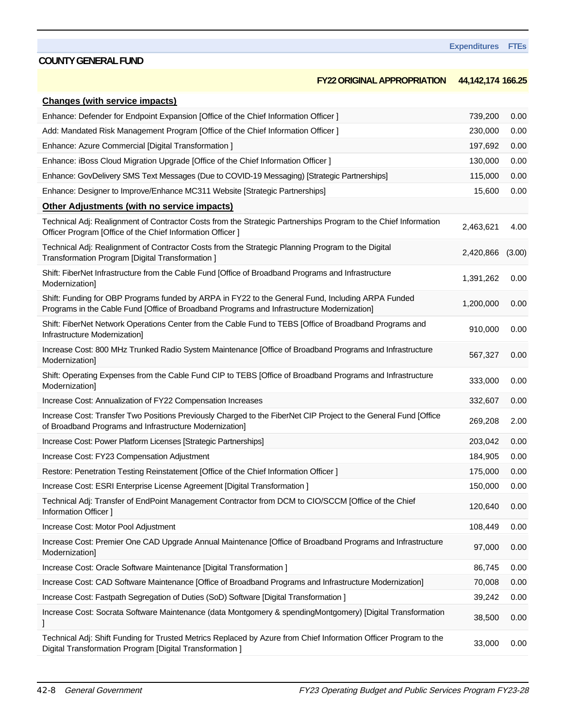#### **FY22 ORIGINAL APPROPRIATION 44,142,174 166.25**

| <b>Changes (with service impacts)</b>                                                                                                                                                           |           |        |
|-------------------------------------------------------------------------------------------------------------------------------------------------------------------------------------------------|-----------|--------|
| Enhance: Defender for Endpoint Expansion [Office of the Chief Information Officer ]                                                                                                             | 739,200   | 0.00   |
| Add: Mandated Risk Management Program [Office of the Chief Information Officer ]                                                                                                                | 230,000   | 0.00   |
| Enhance: Azure Commercial [Digital Transformation]                                                                                                                                              | 197,692   | 0.00   |
| Enhance: iBoss Cloud Migration Upgrade [Office of the Chief Information Officer ]                                                                                                               | 130,000   | 0.00   |
| Enhance: GovDelivery SMS Text Messages (Due to COVID-19 Messaging) [Strategic Partnerships]                                                                                                     | 115,000   | 0.00   |
| Enhance: Designer to Improve/Enhance MC311 Website [Strategic Partnerships]                                                                                                                     | 15,600    | 0.00   |
| <b>Other Adjustments (with no service impacts)</b>                                                                                                                                              |           |        |
| Technical Adj: Realignment of Contractor Costs from the Strategic Partnerships Program to the Chief Information<br>Officer Program [Office of the Chief Information Officer]                    | 2,463,621 | 4.00   |
| Technical Adj: Realignment of Contractor Costs from the Strategic Planning Program to the Digital<br>Transformation Program [Digital Transformation]                                            | 2,420,866 | (3.00) |
| Shift: FiberNet Infrastructure from the Cable Fund [Office of Broadband Programs and Infrastructure<br>Modernization]                                                                           | 1,391,262 | 0.00   |
| Shift: Funding for OBP Programs funded by ARPA in FY22 to the General Fund, Including ARPA Funded<br>Programs in the Cable Fund [Office of Broadband Programs and Infrastructure Modernization] | 1,200,000 | 0.00   |
| Shift: FiberNet Network Operations Center from the Cable Fund to TEBS [Office of Broadband Programs and<br>Infrastructure Modernization]                                                        | 910,000   | 0.00   |
| Increase Cost: 800 MHz Trunked Radio System Maintenance [Office of Broadband Programs and Infrastructure<br>Modernization]                                                                      | 567,327   | 0.00   |
| Shift: Operating Expenses from the Cable Fund CIP to TEBS [Office of Broadband Programs and Infrastructure<br>Modernization]                                                                    | 333,000   | 0.00   |
| Increase Cost: Annualization of FY22 Compensation Increases                                                                                                                                     | 332,607   | 0.00   |
| Increase Cost: Transfer Two Positions Previously Charged to the FiberNet CIP Project to the General Fund [Office<br>of Broadband Programs and Infrastructure Modernization]                     | 269,208   | 2.00   |
| Increase Cost: Power Platform Licenses [Strategic Partnerships]                                                                                                                                 | 203,042   | 0.00   |
| Increase Cost: FY23 Compensation Adjustment                                                                                                                                                     | 184,905   | 0.00   |
| Restore: Penetration Testing Reinstatement [Office of the Chief Information Officer]                                                                                                            | 175,000   | 0.00   |
| Increase Cost: ESRI Enterprise License Agreement [Digital Transformation ]                                                                                                                      | 150,000   | 0.00   |
| Technical Adj: Transfer of EndPoint Management Contractor from DCM to CIO/SCCM [Office of the Chief<br>Information Officer ]                                                                    | 120,640   | 0.00   |
| Increase Cost: Motor Pool Adjustment                                                                                                                                                            | 108,449   | 0.00   |
| Increase Cost: Premier One CAD Upgrade Annual Maintenance [Office of Broadband Programs and Infrastructure<br>Modernization]                                                                    | 97,000    | 0.00   |
| Increase Cost: Oracle Software Maintenance [Digital Transformation ]                                                                                                                            | 86,745    | 0.00   |
| Increase Cost: CAD Software Maintenance [Office of Broadband Programs and Infrastructure Modernization]                                                                                         | 70,008    | 0.00   |
| Increase Cost: Fastpath Segregation of Duties (SoD) Software [Digital Transformation ]                                                                                                          | 39,242    | 0.00   |
| Increase Cost: Socrata Software Maintenance (data Montgomery & spendingMontgomery) [Digital Transformation                                                                                      | 38,500    | 0.00   |
| Technical Adj: Shift Funding for Trusted Metrics Replaced by Azure from Chief Information Officer Program to the<br>Digital Transformation Program [Digital Transformation]                     | 33,000    | 0.00   |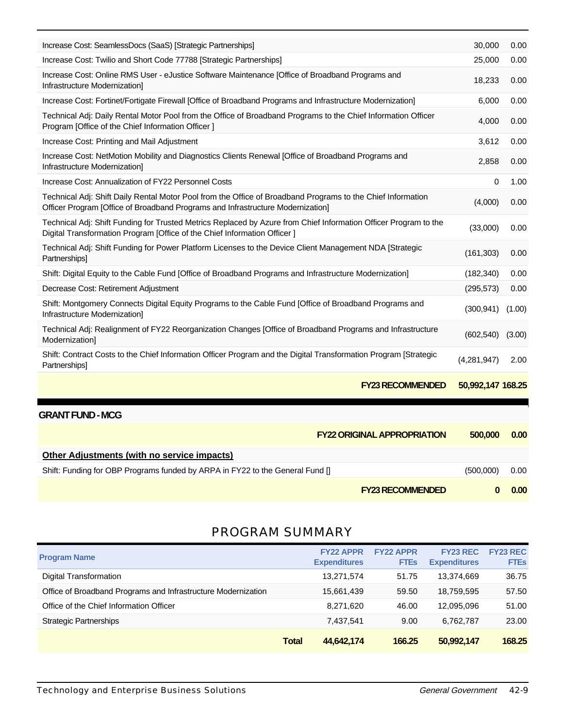| Increase Cost: SeamlessDocs (SaaS) [Strategic Partnerships]                                                                                                                                    | 30,000            | 0.00   |
|------------------------------------------------------------------------------------------------------------------------------------------------------------------------------------------------|-------------------|--------|
| Increase Cost: Twilio and Short Code 77788 [Strategic Partnerships]                                                                                                                            | 25,000            | 0.00   |
| Increase Cost: Online RMS User - eJustice Software Maintenance [Office of Broadband Programs and<br>Infrastructure Modernization]                                                              | 18,233            | 0.00   |
| Increase Cost: Fortinet/Fortigate Firewall [Office of Broadband Programs and Infrastructure Modernization]                                                                                     | 6.000             | 0.00   |
| Technical Adj: Daily Rental Motor Pool from the Office of Broadband Programs to the Chief Information Officer<br>Program [Office of the Chief Information Officer]                             | 4.000             | 0.00   |
| Increase Cost: Printing and Mail Adjustment                                                                                                                                                    | 3,612             | 0.00   |
| Increase Cost: NetMotion Mobility and Diagnostics Clients Renewal [Office of Broadband Programs and<br>Infrastructure Modernization]                                                           | 2,858             | 0.00   |
| Increase Cost: Annualization of FY22 Personnel Costs                                                                                                                                           | 0                 | 1.00   |
| Technical Adj: Shift Daily Rental Motor Pool from the Office of Broadband Programs to the Chief Information<br>Officer Program [Office of Broadband Programs and Infrastructure Modernization] | (4,000)           | 0.00   |
| Technical Adj: Shift Funding for Trusted Metrics Replaced by Azure from Chief Information Officer Program to the<br>Digital Transformation Program [Office of the Chief Information Officer ]  | (33,000)          | 0.00   |
| Technical Adj: Shift Funding for Power Platform Licenses to the Device Client Management NDA [Strategic<br>Partnerships]                                                                       | (161, 303)        | 0.00   |
| Shift: Digital Equity to the Cable Fund [Office of Broadband Programs and Infrastructure Modernization]                                                                                        | (182, 340)        | 0.00   |
| Decrease Cost: Retirement Adjustment                                                                                                                                                           | (295, 573)        | 0.00   |
| Shift: Montgomery Connects Digital Equity Programs to the Cable Fund [Office of Broadband Programs and<br>Infrastructure Modernization]                                                        | (300, 941)        | (1.00) |
| Technical Adj: Realignment of FY22 Reorganization Changes [Office of Broadband Programs and Infrastructure<br>Modernization]                                                                   | (602, 540)        | (3.00) |
| Shift: Contract Costs to the Chief Information Officer Program and the Digital Transformation Program [Strategic<br>Partnerships]                                                              | (4,281,947)       | 2.00   |
| <b>FY23 RECOMMENDED</b>                                                                                                                                                                        | 50.992.147 168.25 |        |

#### **GRANT FUND - MCG**

|                                                                               | <b>FY22 ORIGINAL APPROPRIATION</b> | 500,000   | 0.00 |
|-------------------------------------------------------------------------------|------------------------------------|-----------|------|
| <b>Other Adjustments (with no service impacts)</b>                            |                                    |           |      |
| Shift: Funding for OBP Programs funded by ARPA in FY22 to the General Fund [] |                                    | (500,000) | 0.00 |
|                                                                               | <b>FY23 RECOMMENDED</b>            |           | 0.00 |

## PROGRAM SUMMARY

| <b>Program Name</b>                                           |              | <b>FY22 APPR</b><br><b>Expenditures</b> | <b>FY22 APPR</b><br><b>FTEs</b> | <b>FY23 REC</b><br><b>Expenditures</b> | <b>FY23 REC</b><br><b>FTEs</b> |
|---------------------------------------------------------------|--------------|-----------------------------------------|---------------------------------|----------------------------------------|--------------------------------|
| Digital Transformation                                        |              | 13,271,574                              | 51.75                           | 13.374.669                             | 36.75                          |
| Office of Broadband Programs and Infrastructure Modernization |              | 15,661,439                              | 59.50                           | 18,759,595                             | 57.50                          |
| Office of the Chief Information Officer                       |              | 8,271,620                               | 46.00                           | 12,095,096                             | 51.00                          |
| <b>Strategic Partnerships</b>                                 |              | 7,437,541                               | 9.00                            | 6,762,787                              | 23.00                          |
|                                                               | <b>Total</b> | 44,642,174                              | 166.25                          | 50,992,147                             | 168.25                         |